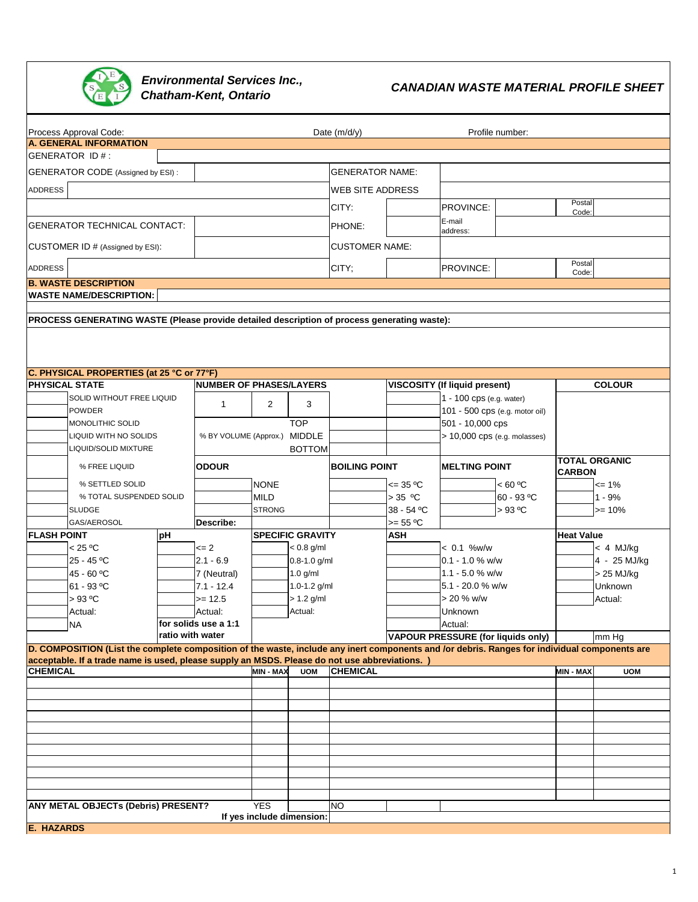

**Environmental Services Inc.,<br>Chatham-Kent, Ontario** 

**CANADIAN WASTE MATERIAL PROFILE SHEET** 

| Process Approval Code:                                                                                                                        |                                 |                              | Date (m/d/y)            |                         |                      | Profile number:                      |                   |                      |  |
|-----------------------------------------------------------------------------------------------------------------------------------------------|---------------------------------|------------------------------|-------------------------|-------------------------|----------------------|--------------------------------------|-------------------|----------------------|--|
| <b>A. GENERAL INFORMATION</b><br>GENERATOR ID#:                                                                                               |                                 |                              |                         |                         |                      |                                      |                   |                      |  |
|                                                                                                                                               |                                 |                              |                         |                         |                      |                                      |                   |                      |  |
| GENERATOR CODE (Assigned by ESI):                                                                                                             |                                 |                              |                         | <b>GENERATOR NAME:</b>  |                      |                                      |                   |                      |  |
| <b>ADDRESS</b>                                                                                                                                |                                 |                              |                         | <b>WEB SITE ADDRESS</b> |                      |                                      |                   |                      |  |
|                                                                                                                                               |                                 |                              |                         | CITY:                   |                      | PROVINCE:                            | Postal<br>Code:   |                      |  |
| <b>GENERATOR TECHNICAL CONTACT:</b>                                                                                                           |                                 |                              |                         | PHONE:                  |                      | E-mail<br>address:                   |                   |                      |  |
| CUSTOMER ID # (Assigned by ESI):                                                                                                              |                                 |                              |                         | <b>CUSTOMER NAME:</b>   |                      |                                      |                   |                      |  |
| <b>ADDRESS</b>                                                                                                                                |                                 |                              |                         | CITY;                   |                      | PROVINCE:                            | Postal            |                      |  |
| <b>B. WASTE DESCRIPTION</b>                                                                                                                   |                                 |                              |                         |                         |                      |                                      | Code:             |                      |  |
| <b>WASTE NAME/DESCRIPTION:</b>                                                                                                                |                                 |                              |                         |                         |                      |                                      |                   |                      |  |
|                                                                                                                                               |                                 |                              |                         |                         |                      |                                      |                   |                      |  |
| PROCESS GENERATING WASTE (Please provide detailed description of process generating waste):                                                   |                                 |                              |                         |                         |                      |                                      |                   |                      |  |
|                                                                                                                                               |                                 |                              |                         |                         |                      |                                      |                   |                      |  |
| C. PHYSICAL PROPERTIES (at 25 °C or 77°F)                                                                                                     |                                 |                              |                         |                         |                      |                                      |                   |                      |  |
| <b>PHYSICAL STATE</b>                                                                                                                         | <b>NUMBER OF PHASES/LAYERS</b>  |                              |                         |                         |                      | <b>VISCOSITY (If liquid present)</b> |                   | <b>COLOUR</b>        |  |
| SOLID WITHOUT FREE LIQUID                                                                                                                     |                                 |                              |                         |                         |                      | 1 - 100 cps (e.g. water)             |                   |                      |  |
| <b>POWDER</b>                                                                                                                                 | $\mathbf{1}$                    | $\overline{2}$               | 3                       |                         |                      | 101 - 500 cps (e.g. motor oil)       |                   |                      |  |
| MONOLITHIC SOLID                                                                                                                              |                                 |                              | <b>TOP</b>              |                         |                      | 501 - 10,000 cps                     |                   |                      |  |
| LIQUID WITH NO SOLIDS                                                                                                                         |                                 | % BY VOLUME (Approx.) MIDDLE |                         |                         |                      | > 10,000 cps (e.g. molasses)         |                   |                      |  |
| LIQUID/SOLID MIXTURE                                                                                                                          |                                 |                              | <b>BOTTOM</b>           |                         |                      |                                      |                   |                      |  |
| % FREE LIQUID                                                                                                                                 | <b>ODOUR</b>                    |                              |                         |                         | <b>BOILING POINT</b> | <b>MELTING POINT</b>                 | <b>CARBON</b>     | <b>TOTAL ORGANIC</b> |  |
| % SETTLED SOLID                                                                                                                               |                                 | <b>NONE</b>                  |                         |                         | $\leq$ 35 °C         | < 60 °C                              |                   | $= 1\%$              |  |
| % TOTAL SUSPENDED SOLID                                                                                                                       |                                 | <b>MILD</b>                  |                         |                         | $> 35$ °C            | 60 - 93 °C                           |                   | $1 - 9%$             |  |
| <b>SLUDGE</b>                                                                                                                                 |                                 | <b>STRONG</b>                |                         |                         | 38 - 54 °C           | $>93$ °C                             |                   | $>= 10%$             |  |
| GAS/AEROSOL                                                                                                                                   | Describe:                       |                              |                         |                         | $>= 55 °C$           |                                      |                   |                      |  |
| <b>FLASH POINT</b><br>рH                                                                                                                      |                                 |                              | <b>SPECIFIC GRAVITY</b> |                         | ASH                  |                                      | <b>Heat Value</b> |                      |  |
| < 25 °C                                                                                                                                       | $= 2$                           |                              | $< 0.8$ g/ml            |                         |                      | $< 0.1$ %w/w                         |                   | $< 4$ MJ/kg          |  |
| 25 - 45 °C                                                                                                                                    | $2.1 - 6.9$                     | 0.8-1.0 g/ml                 |                         |                         |                      | $0.1 - 1.0 %$ w/w                    |                   | 4 - 25 MJ/kg         |  |
| 45 - 60 °C                                                                                                                                    | 7 (Neutral)                     |                              | $1.0$ g/ml              |                         |                      | 1.1 - 5.0 % w/w                      |                   | > 25 MJ/kg           |  |
| 61 - 93 °C                                                                                                                                    | $7.1 - 12.4$                    |                              | 1.0-1.2 g/ml            |                         |                      | 5.1 - 20.0 % w/w<br>$> 20 \%$ w/w    |                   | <b>Unknown</b>       |  |
| $>93$ °C<br>Actual:                                                                                                                           | $>= 12.5$                       |                              | $> 1.2$ g/ml<br>Actual: |                         |                      | Unknown                              |                   | Actual:              |  |
|                                                                                                                                               | Actual:<br>for solids use a 1:1 |                              |                         |                         |                      | Actual:                              |                   |                      |  |
| <b>NA</b>                                                                                                                                     | ratio with water                |                              |                         |                         |                      | VAPOUR PRESSURE (for liquids only)   |                   | mm Hg                |  |
| D. COMPOSITION (List the complete composition of the waste, include any inert components and /or debris. Ranges for individual components are |                                 |                              |                         |                         |                      |                                      |                   |                      |  |
| acceptable. If a trade name is used, please supply an MSDS. Please do not use abbreviations. )                                                |                                 |                              |                         |                         |                      |                                      |                   |                      |  |
| <b>CHEMICAL</b>                                                                                                                               |                                 | <b>MIN - MAX</b>             | <b>UOM</b>              | <b>CHEMICAL</b>         |                      |                                      | MIN - MAX         | <b>UOM</b>           |  |
|                                                                                                                                               |                                 |                              |                         |                         |                      |                                      |                   |                      |  |
|                                                                                                                                               |                                 |                              |                         |                         |                      |                                      |                   |                      |  |
|                                                                                                                                               |                                 |                              |                         |                         |                      |                                      |                   |                      |  |
|                                                                                                                                               |                                 |                              |                         |                         |                      |                                      |                   |                      |  |
|                                                                                                                                               |                                 |                              |                         |                         |                      |                                      |                   |                      |  |
|                                                                                                                                               |                                 |                              |                         |                         |                      |                                      |                   |                      |  |
|                                                                                                                                               |                                 |                              |                         |                         |                      |                                      |                   |                      |  |
|                                                                                                                                               |                                 |                              |                         |                         |                      |                                      |                   |                      |  |
|                                                                                                                                               |                                 |                              |                         |                         |                      |                                      |                   |                      |  |
| ANY METAL OBJECTs (Debris) PRESENT?                                                                                                           |                                 | <b>YES</b>                   |                         | NO                      |                      |                                      |                   |                      |  |
| <b>E. HAZARDS</b>                                                                                                                             |                                 | If yes include dimension:    |                         |                         |                      |                                      |                   |                      |  |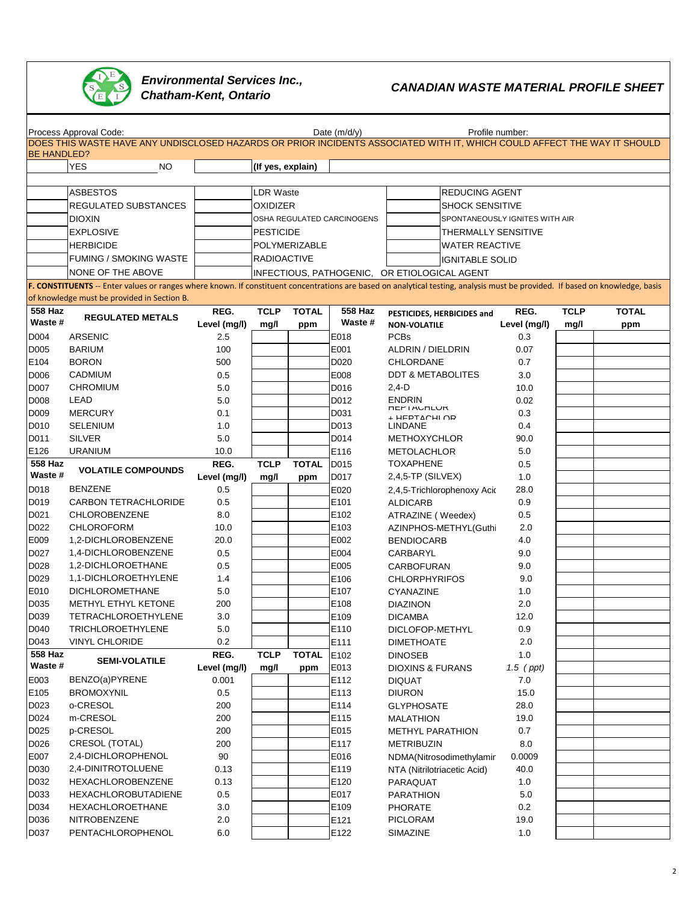

## **CANADIAN WASTE MATERIAL PROFILE SHEET**<br>
CANADIAN WASTE MATERIAL PROFILE SHEET **Environmental Services Inc.,<br>Chatham-Kent, Ontario**

|                    | Process Approval Code:                                                                                                                                                        |              |                    |               | Date $(m/d/y)$             |                                              | Profile number: |             |              |  |  |
|--------------------|-------------------------------------------------------------------------------------------------------------------------------------------------------------------------------|--------------|--------------------|---------------|----------------------------|----------------------------------------------|-----------------|-------------|--------------|--|--|
|                    | DOES THIS WASTE HAVE ANY UNDISCLOSED HAZARDS OR PRIOR INCIDENTS ASSOCIATED WITH IT, WHICH COULD AFFECT THE WAY IT SHOULD                                                      |              |                    |               |                            |                                              |                 |             |              |  |  |
| <b>BE HANDLED?</b> |                                                                                                                                                                               |              |                    |               |                            |                                              |                 |             |              |  |  |
|                    | <b>YES</b><br>NO                                                                                                                                                              |              | (If yes, explain)  |               |                            |                                              |                 |             |              |  |  |
|                    |                                                                                                                                                                               |              |                    |               |                            |                                              |                 |             |              |  |  |
|                    | <b>ASBESTOS</b>                                                                                                                                                               |              | <b>LDR Waste</b>   |               |                            | <b>REDUCING AGENT</b>                        |                 |             |              |  |  |
|                    | REGULATED SUBSTANCES                                                                                                                                                          |              | <b>OXIDIZER</b>    |               |                            | <b>SHOCK SENSITIVE</b>                       |                 |             |              |  |  |
|                    | <b>DIOXIN</b>                                                                                                                                                                 |              |                    |               | OSHA REGULATED CARCINOGENS | SPONTANEOUSLY IGNITES WITH AIR               |                 |             |              |  |  |
|                    | <b>EXPLOSIVE</b>                                                                                                                                                              |              | <b>PESTICIDE</b>   |               |                            | <b>THERMALLY SENSITIVE</b>                   |                 |             |              |  |  |
|                    | <b>HERBICIDE</b>                                                                                                                                                              |              |                    | POLYMERIZABLE |                            | <b>WATER REACTIVE</b>                        |                 |             |              |  |  |
|                    | <b>FUMING / SMOKING WASTE</b>                                                                                                                                                 |              | <b>RADIOACTIVE</b> |               |                            | IIGNITABLE SOLID                             |                 |             |              |  |  |
|                    | <b>NONE OF THE ABOVE</b>                                                                                                                                                      |              |                    |               |                            | INFECTIOUS, PATHOGENIC, OR ETIOLOGICAL AGENT |                 |             |              |  |  |
|                    | F. CONSTITUENTS -- Enter values or ranges where known. If constituent concentrations are based on analytical testing, analysis must be provided. If based on knowledge, basis |              |                    |               |                            |                                              |                 |             |              |  |  |
|                    | of knowledge must be provided in Section B.                                                                                                                                   |              |                    |               |                            |                                              |                 |             |              |  |  |
| 558 Haz            | <b>REGULATED METALS</b>                                                                                                                                                       | REG.         | <b>TCLP</b>        | <b>TOTAL</b>  | <b>558 Haz</b>             | PESTICIDES, HERBICIDES and                   | REG.            | <b>TCLP</b> | <b>TOTAL</b> |  |  |
| Waste #            |                                                                                                                                                                               | Level (mg/l) | mg/l               | ppm           | Waste #                    | <b>NON-VOLATILE</b>                          | Level (mg/l)    | mg/l        | ppm          |  |  |
| D004               | <b>ARSENIC</b>                                                                                                                                                                | 2.5          |                    |               | E018                       | <b>PCBs</b>                                  | 0.3             |             |              |  |  |
| D005               | <b>BARIUM</b>                                                                                                                                                                 | 100          |                    |               | E001                       | ALDRIN / DIELDRIN                            | 0.07            |             |              |  |  |
| E104               | <b>BORON</b>                                                                                                                                                                  | 500          |                    |               | D020                       | <b>CHLORDANE</b>                             | 0.7             |             |              |  |  |
| D006               | <b>CADMIUM</b>                                                                                                                                                                | 0.5          |                    |               | E008                       | <b>DDT &amp; METABOLITES</b>                 | 3.0             |             |              |  |  |
| D007               | <b>CHROMIUM</b>                                                                                                                                                               | 5.0          |                    |               | D016                       | $2,4-D$                                      | 10.0            |             |              |  |  |
| D008               | <b>LEAD</b>                                                                                                                                                                   | 5.0          |                    |               | D012                       | <b>ENDRIN</b>                                | 0.02            |             |              |  |  |
| D <sub>009</sub>   | <b>MERCURY</b>                                                                                                                                                                | 0.1          |                    |               | D031                       | <b>HEP I AUHLUK</b><br>+ HEPTACHI OR         | 0.3             |             |              |  |  |
| D010               | <b>SELENIUM</b>                                                                                                                                                               | 1.0          |                    |               | D013                       | <b>LINDANE</b>                               | 0.4             |             |              |  |  |
| D011               | <b>SILVER</b>                                                                                                                                                                 | 5.0          |                    |               | D014                       | <b>METHOXYCHLOR</b>                          | 90.0            |             |              |  |  |
| E126               | <b>URANIUM</b>                                                                                                                                                                | 10.0         |                    |               | E116                       | <b>METOLACHLOR</b>                           | 5.0             |             |              |  |  |
| 558 Haz            | <b>VOLATILE COMPOUNDS</b>                                                                                                                                                     | REG.         | <b>TCLP</b>        | <b>TOTAL</b>  | D015                       | <b>TOXAPHENE</b>                             | 0.5             |             |              |  |  |
| Waste #            |                                                                                                                                                                               | Level (mg/l) | mg/l               | ppm           | D017                       | $2,4,5$ -TP (SILVEX)                         | 1.0             |             |              |  |  |
| D018               | <b>BENZENE</b>                                                                                                                                                                | 0.5          |                    |               | E020                       | 2,4,5-Trichlorophenoxy Acid                  | 28.0            |             |              |  |  |
| D019               | <b>CARBON TETRACHLORIDE</b>                                                                                                                                                   | 0.5          |                    |               | E101                       | <b>ALDICARB</b>                              | 0.9             |             |              |  |  |
| D021               | CHLOROBENZENE                                                                                                                                                                 | 8.0          |                    |               | E102                       | ATRAZINE (Weedex)                            | 0.5             |             |              |  |  |
| D022               | <b>CHLOROFORM</b>                                                                                                                                                             | 10.0         |                    |               | E103                       | AZINPHOS-METHYL(Guthi                        | 2.0             |             |              |  |  |
| E009               | 1,2-DICHLOROBENZENE                                                                                                                                                           | 20.0         |                    |               | E002                       | <b>BENDIOCARB</b>                            | 4.0             |             |              |  |  |
| D027               | 1,4-DICHLOROBENZENE                                                                                                                                                           | 0.5          |                    |               | E004                       | CARBARYL                                     | 9.0             |             |              |  |  |
| D028               | 1,2-DICHLOROETHANE                                                                                                                                                            | 0.5          |                    |               | E005                       | CARBOFURAN                                   | 9.0             |             |              |  |  |
| D <sub>029</sub>   | 1,1-DICHLOROETHYLENE                                                                                                                                                          | 1.4          |                    |               | E106                       | <b>CHLORPHYRIFOS</b>                         | 9.0             |             |              |  |  |
| E010               | <b>DICHLOROMETHANE</b>                                                                                                                                                        | 5.0          |                    |               | E107                       | CYANAZINE                                    | 1.0             |             |              |  |  |
| D035               | METHYL ETHYL KETONE                                                                                                                                                           | 200          |                    |               | E108                       | <b>DIAZINON</b>                              | 2.0             |             |              |  |  |
| D039               | <b>TETRACHLOROETHYLENE</b>                                                                                                                                                    | 3.0          |                    |               | E109                       | <b>DICAMBA</b>                               | 12.0            |             |              |  |  |
| D040               | TRICHLOROETHYLENE                                                                                                                                                             | $5.0\,$      |                    |               | E110                       | DICLOFOP-METHYL                              | $0.9\,$         |             |              |  |  |
| D043               | <b>VINYL CHLORIDE</b>                                                                                                                                                         | 0.2          |                    |               | E111                       | <b>DIMETHOATE</b>                            | 2.0             |             |              |  |  |
| 558 Haz<br>Waste # | <b>SEMI-VOLATILE</b>                                                                                                                                                          | REG.         | <b>TCLP</b>        | <b>TOTAL</b>  | E102                       | <b>DINOSEB</b>                               | 1.0             |             |              |  |  |
|                    |                                                                                                                                                                               | Level (mg/l) | mg/l               | ppm           | E013                       | <b>DIOXINS &amp; FURANS</b>                  | $1.5$ (ppt)     |             |              |  |  |
| E003               | BENZO(a)PYRENE                                                                                                                                                                | 0.001        |                    |               | E112                       | <b>DIQUAT</b>                                | 7.0             |             |              |  |  |
| E105               | <b>BROMOXYNIL</b>                                                                                                                                                             | 0.5          |                    |               | E113                       | <b>DIURON</b>                                | 15.0            |             |              |  |  |
| D023               | o-CRESOL                                                                                                                                                                      | 200          |                    |               | E114                       | <b>GLYPHOSATE</b>                            | 28.0            |             |              |  |  |
| D024               | m-CRESOL                                                                                                                                                                      | 200          |                    |               | E115                       | <b>MALATHION</b>                             | 19.0            |             |              |  |  |
| D025               | p-CRESOL                                                                                                                                                                      | 200          |                    |               | E015                       | METHYL PARATHION                             | 0.7             |             |              |  |  |
| D026               | CRESOL (TOTAL)                                                                                                                                                                | 200          |                    |               | E117                       | <b>METRIBUZIN</b>                            | 8.0             |             |              |  |  |
| E007               | 2,4-DICHLOROPHENOL                                                                                                                                                            | 90           |                    |               | E016                       | NDMA(Nitrosodimethylamir                     | 0.0009          |             |              |  |  |
| D030               | 2,4-DINITROTOLUENE                                                                                                                                                            | 0.13         |                    |               | E119                       | NTA (Nitrilotriacetic Acid)                  | 40.0            |             |              |  |  |
| D032               | HEXACHLOROBENZENE                                                                                                                                                             | 0.13         |                    |               | E120                       | PARAQUAT                                     | 1.0             |             |              |  |  |
| D033               | <b>HEXACHLOROBUTADIENE</b>                                                                                                                                                    | 0.5          |                    |               | E017                       | <b>PARATHION</b>                             | 5.0             |             |              |  |  |
| D034               | HEXACHLOROETHANE                                                                                                                                                              | 3.0          |                    |               | E109                       | <b>PHORATE</b>                               | 0.2             |             |              |  |  |
| D036               | NITROBENZENE                                                                                                                                                                  | 2.0          |                    |               | E121                       | <b>PICLORAM</b>                              | 19.0            |             |              |  |  |
| D037               | PENTACHLOROPHENOL                                                                                                                                                             | 6.0          |                    |               | E122                       | SIMAZINE                                     | 1.0             |             |              |  |  |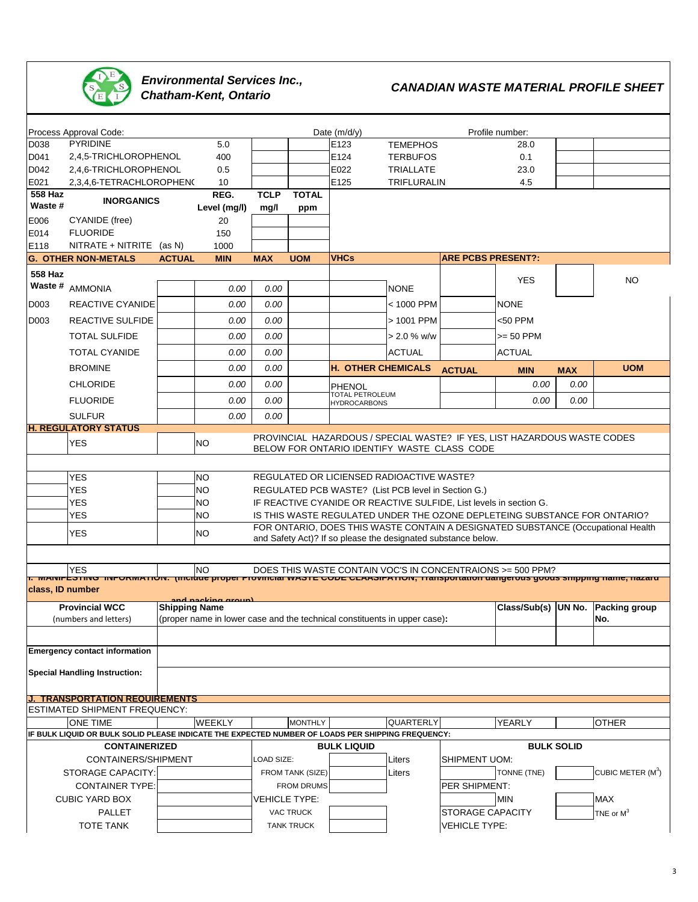

# **Environmental Services Inc.,<br>Chatham-Kent, Ontario**

## **CANADIAN WASTE MATERIAL PROFILE SHEET**

|                                                                                                   |                                                                                                                                                          |                      |                    |                                                                           |                   | Date $(m/d/y)$                                                                                                                                  |                  |                           | Profile number:                                                          |            |                                                                                  |
|---------------------------------------------------------------------------------------------------|----------------------------------------------------------------------------------------------------------------------------------------------------------|----------------------|--------------------|---------------------------------------------------------------------------|-------------------|-------------------------------------------------------------------------------------------------------------------------------------------------|------------------|---------------------------|--------------------------------------------------------------------------|------------|----------------------------------------------------------------------------------|
| Process Approval Code:<br>D038<br><b>PYRIDINE</b>                                                 |                                                                                                                                                          | 5.0                  |                    |                                                                           | E123              | <b>TEMEPHOS</b>                                                                                                                                 |                  | 28.0                      |                                                                          |            |                                                                                  |
| D041                                                                                              | 2,4,5-TRICHLOROPHENOL                                                                                                                                    |                      | 400                |                                                                           |                   | E124                                                                                                                                            | <b>TERBUFOS</b>  |                           | 0.1                                                                      |            |                                                                                  |
| D042                                                                                              | 2,4,6-TRICHLOROPHENOL                                                                                                                                    |                      | 0.5                |                                                                           |                   | E022                                                                                                                                            | <b>TRIALLATE</b> |                           | 23.0                                                                     |            |                                                                                  |
| E021                                                                                              | 2,3,4,6-TETRACHLOROPHEN(                                                                                                                                 |                      | 10                 |                                                                           |                   | E125                                                                                                                                            | TRIFLURALIN      |                           | 4.5                                                                      |            |                                                                                  |
| 558 Haz                                                                                           |                                                                                                                                                          |                      | REG.               | <b>TCLP</b>                                                               | <b>TOTAL</b>      |                                                                                                                                                 |                  |                           |                                                                          |            |                                                                                  |
| Waste #                                                                                           | <b>INORGANICS</b>                                                                                                                                        |                      |                    |                                                                           |                   |                                                                                                                                                 |                  |                           |                                                                          |            |                                                                                  |
| E006                                                                                              | CYANIDE (free)                                                                                                                                           |                      | Level (mg/l)<br>20 | mg/l                                                                      | ppm               |                                                                                                                                                 |                  |                           |                                                                          |            |                                                                                  |
| E014                                                                                              | <b>FLUORIDE</b>                                                                                                                                          |                      | 150                |                                                                           |                   |                                                                                                                                                 |                  |                           |                                                                          |            |                                                                                  |
| E118                                                                                              | NITRATE + NITRITE (as N)                                                                                                                                 |                      | 1000               |                                                                           |                   |                                                                                                                                                 |                  |                           |                                                                          |            |                                                                                  |
|                                                                                                   | <b>G. OTHER NON-METALS</b>                                                                                                                               | <b>ACTUAL</b>        | <b>MIN</b>         | <b>MAX</b>                                                                | <b>UOM</b>        | <b>VHCs</b>                                                                                                                                     |                  | <b>ARE PCBS PRESENT?:</b> |                                                                          |            |                                                                                  |
| <b>558 Haz</b>                                                                                    |                                                                                                                                                          |                      |                    |                                                                           |                   |                                                                                                                                                 |                  |                           |                                                                          |            |                                                                                  |
|                                                                                                   | Waste # AMMONIA                                                                                                                                          |                      |                    |                                                                           |                   |                                                                                                                                                 |                  |                           | <b>YES</b>                                                               |            | <b>NO</b>                                                                        |
|                                                                                                   |                                                                                                                                                          |                      | 0.00               | 0.00                                                                      |                   |                                                                                                                                                 | <b>NONE</b>      |                           |                                                                          |            |                                                                                  |
| D003                                                                                              | <b>REACTIVE CYANIDE</b>                                                                                                                                  |                      | 0.00               | 0.00                                                                      |                   |                                                                                                                                                 | < 1000 PPM       |                           | <b>NONE</b>                                                              |            |                                                                                  |
| D003                                                                                              | <b>REACTIVE SULFIDE</b>                                                                                                                                  |                      | 0.00               | 0.00                                                                      |                   |                                                                                                                                                 | > 1001 PPM       |                           | <50 PPM                                                                  |            |                                                                                  |
|                                                                                                   | <b>TOTAL SULFIDE</b>                                                                                                                                     |                      | 0.00               | 0.00                                                                      |                   |                                                                                                                                                 | $> 2.0 %$ w/w    |                           | $>= 50$ PPM                                                              |            |                                                                                  |
|                                                                                                   | <b>TOTAL CYANIDE</b>                                                                                                                                     |                      | 0.00               | 0.00                                                                      |                   |                                                                                                                                                 | <b>ACTUAL</b>    |                           | <b>ACTUAL</b>                                                            |            |                                                                                  |
|                                                                                                   | <b>BROMINE</b>                                                                                                                                           |                      | 0.00               | 0.00                                                                      |                   | <b>H. OTHER CHEMICALS</b>                                                                                                                       |                  | <b>ACTUAL</b>             | <b>MIN</b>                                                               | <b>MAX</b> | <b>UOM</b>                                                                       |
|                                                                                                   | <b>CHLORIDE</b>                                                                                                                                          |                      | 0.00               | 0.00                                                                      |                   |                                                                                                                                                 |                  |                           | 0.00                                                                     | 0.00       |                                                                                  |
|                                                                                                   |                                                                                                                                                          |                      |                    |                                                                           |                   | PHENOL<br>TOTAL PETROLEUM                                                                                                                       |                  |                           |                                                                          |            |                                                                                  |
|                                                                                                   | <b>FLUORIDE</b>                                                                                                                                          |                      | 0.00               | 0.00                                                                      |                   | <b>HYDROCARBONS</b>                                                                                                                             |                  |                           | 0.00                                                                     | 0.00       |                                                                                  |
|                                                                                                   | <b>SULFUR</b>                                                                                                                                            |                      | 0.00               | 0.00                                                                      |                   |                                                                                                                                                 |                  |                           |                                                                          |            |                                                                                  |
|                                                                                                   | <b>H. REGULATORY STATUS</b>                                                                                                                              |                      |                    |                                                                           |                   |                                                                                                                                                 |                  |                           | PROVINCIAL HAZARDOUS / SPECIAL WASTE? IF YES, LIST HAZARDOUS WASTE CODES |            |                                                                                  |
|                                                                                                   | <b>YES</b>                                                                                                                                               |                      | <b>NO</b>          |                                                                           |                   | BELOW FOR ONTARIO IDENTIFY WASTE CLASS CODE                                                                                                     |                  |                           |                                                                          |            |                                                                                  |
|                                                                                                   |                                                                                                                                                          |                      |                    |                                                                           |                   |                                                                                                                                                 |                  |                           |                                                                          |            |                                                                                  |
|                                                                                                   |                                                                                                                                                          |                      |                    |                                                                           |                   |                                                                                                                                                 |                  |                           |                                                                          |            |                                                                                  |
|                                                                                                   | <b>YES</b>                                                                                                                                               |                      | <b>NO</b>          |                                                                           |                   | REGULATED OR LICIENSED RADIOACTIVE WASTE?                                                                                                       |                  |                           |                                                                          |            |                                                                                  |
|                                                                                                   | <b>YES</b>                                                                                                                                               |                      | <b>NO</b>          |                                                                           |                   | REGULATED PCB WASTE? (List PCB level in Section G.)                                                                                             |                  |                           |                                                                          |            |                                                                                  |
|                                                                                                   | YES                                                                                                                                                      |                      | <b>NO</b>          |                                                                           |                   | IF REACTIVE CYANIDE OR REACTIVE SULFIDE, List levels in section G.<br>IS THIS WASTE REGULATED UNDER THE OZONE DEPLETEING SUBSTANCE FOR ONTARIO? |                  |                           |                                                                          |            |                                                                                  |
|                                                                                                   | <b>YES</b>                                                                                                                                               |                      | <b>NO</b>          |                                                                           |                   |                                                                                                                                                 |                  |                           |                                                                          |            | FOR ONTARIO, DOES THIS WASTE CONTAIN A DESIGNATED SUBSTANCE (Occupational Health |
|                                                                                                   | YES                                                                                                                                                      |                      | <b>NO</b>          |                                                                           |                   |                                                                                                                                                 |                  |                           |                                                                          |            |                                                                                  |
|                                                                                                   | and Safety Act)? If so please the designated substance below.                                                                                            |                      |                    |                                                                           |                   |                                                                                                                                                 |                  |                           |                                                                          |            |                                                                                  |
|                                                                                                   |                                                                                                                                                          |                      |                    |                                                                           |                   |                                                                                                                                                 |                  |                           |                                                                          |            |                                                                                  |
|                                                                                                   | <b>YES</b><br><mark>т. миниг±этние ниголмитном, нисфае ргорег гтомныаг wasт∟ соод сдаазнгитном, ттанsронанон аанgerous goous smpping name, надага</mark> |                      | <b>NO</b>          |                                                                           |                   |                                                                                                                                                 |                  |                           | DOES THIS WASTE CONTAIN VOC'S IN CONCENTRAIONS >= 500 PPM?               |            |                                                                                  |
| class, ID number                                                                                  |                                                                                                                                                          |                      |                    |                                                                           |                   |                                                                                                                                                 |                  |                           |                                                                          |            |                                                                                  |
|                                                                                                   | <b>Provincial WCC</b>                                                                                                                                    | <b>Shipping Name</b> | and nacking group) |                                                                           |                   |                                                                                                                                                 |                  |                           | Class/Sub(s)   UN No.                                                    |            | <b>Packing group</b>                                                             |
|                                                                                                   | (numbers and letters)                                                                                                                                    |                      |                    | (proper name in lower case and the technical constituents in upper case): |                   |                                                                                                                                                 |                  |                           |                                                                          |            | No.                                                                              |
|                                                                                                   |                                                                                                                                                          |                      |                    |                                                                           |                   |                                                                                                                                                 |                  |                           |                                                                          |            |                                                                                  |
|                                                                                                   |                                                                                                                                                          |                      |                    |                                                                           |                   |                                                                                                                                                 |                  |                           |                                                                          |            |                                                                                  |
|                                                                                                   | <b>Emergency contact information</b>                                                                                                                     |                      |                    |                                                                           |                   |                                                                                                                                                 |                  |                           |                                                                          |            |                                                                                  |
|                                                                                                   | <b>Special Handling Instruction:</b>                                                                                                                     |                      |                    |                                                                           |                   |                                                                                                                                                 |                  |                           |                                                                          |            |                                                                                  |
|                                                                                                   |                                                                                                                                                          |                      |                    |                                                                           |                   |                                                                                                                                                 |                  |                           |                                                                          |            |                                                                                  |
|                                                                                                   | <b>J. TRANSPORTATION REQUIREMENTS</b>                                                                                                                    |                      |                    |                                                                           |                   |                                                                                                                                                 |                  |                           |                                                                          |            |                                                                                  |
|                                                                                                   | ESTIMATED SHIPMENT FREQUENCY:                                                                                                                            |                      |                    |                                                                           |                   |                                                                                                                                                 |                  |                           |                                                                          |            |                                                                                  |
|                                                                                                   | <b>ONE TIME</b>                                                                                                                                          |                      | <b>WEEKLY</b>      |                                                                           | <b>MONTHLY</b>    |                                                                                                                                                 | QUARTERLY        |                           | YEARLY                                                                   |            | <b>OTHER</b>                                                                     |
| IF BULK LIQUID OR BULK SOLID PLEASE INDICATE THE EXPECTED NUMBER OF LOADS PER SHIPPING FREQUENCY: |                                                                                                                                                          |                      |                    |                                                                           |                   |                                                                                                                                                 |                  |                           |                                                                          |            |                                                                                  |
| <b>CONTAINERIZED</b>                                                                              |                                                                                                                                                          |                      |                    |                                                                           |                   | <b>BULK LIQUID</b>                                                                                                                              |                  |                           | <b>BULK SOLID</b>                                                        |            |                                                                                  |
|                                                                                                   | CONTAINERS/SHIPMENT                                                                                                                                      |                      |                    | OAD SIZE:                                                                 |                   |                                                                                                                                                 | Liters           | <b>SHIPMENT UOM:</b>      |                                                                          |            |                                                                                  |
|                                                                                                   | <b>STORAGE CAPACITY:</b>                                                                                                                                 |                      |                    |                                                                           | FROM TANK (SIZE)  |                                                                                                                                                 | Liters           |                           | TONNE (TNE)                                                              |            | CUBIC METER (M <sup>3</sup> )                                                    |
|                                                                                                   | <b>CONTAINER TYPE:</b>                                                                                                                                   |                      |                    |                                                                           | <b>FROM DRUMS</b> |                                                                                                                                                 |                  | PER SHIPMENT:             |                                                                          |            |                                                                                  |
|                                                                                                   | <b>CUBIC YARD BOX</b>                                                                                                                                    |                      |                    |                                                                           | VEHICLE TYPE:     |                                                                                                                                                 |                  |                           | <b>MIN</b>                                                               |            | <b>MAX</b>                                                                       |
|                                                                                                   | PALLET                                                                                                                                                   |                      |                    |                                                                           | <b>VAC TRUCK</b>  |                                                                                                                                                 |                  | <b>STORAGE CAPACITY</b>   |                                                                          |            | TNE or $M^3$                                                                     |
|                                                                                                   | <b>TOTE TANK</b>                                                                                                                                         |                      |                    |                                                                           | <b>TANK TRUCK</b> |                                                                                                                                                 |                  | <b>VEHICLE TYPE:</b>      |                                                                          |            |                                                                                  |